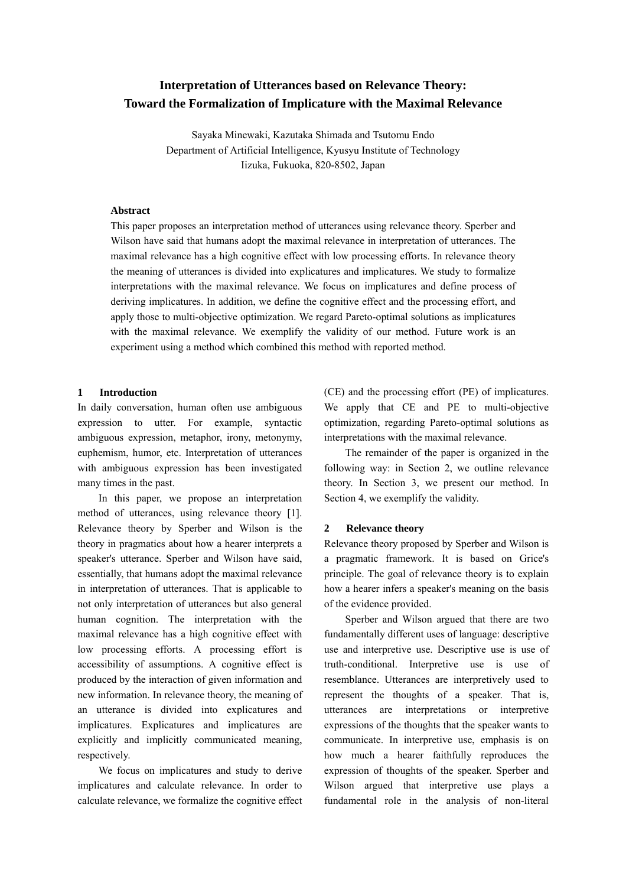# **Interpretation of Utterances based on Relevance Theory: Toward the Formalization of Implicature with the Maximal Relevance**

Sayaka Minewaki, Kazutaka Shimada and Tsutomu Endo Department of Artificial Intelligence, Kyusyu Institute of Technology Iizuka, Fukuoka, 820-8502, Japan

#### **Abstract**

This paper proposes an interpretation method of utterances using relevance theory. Sperber and Wilson have said that humans adopt the maximal relevance in interpretation of utterances. The maximal relevance has a high cognitive effect with low processing efforts. In relevance theory the meaning of utterances is divided into explicatures and implicatures. We study to formalize interpretations with the maximal relevance. We focus on implicatures and define process of deriving implicatures. In addition, we define the cognitive effect and the processing effort, and apply those to multi-objective optimization. We regard Pareto-optimal solutions as implicatures with the maximal relevance. We exemplify the validity of our method. Future work is an experiment using a method which combined this method with reported method.

#### **1 Introduction**

In daily conversation, human often use ambiguous expression to utter. For example, syntactic ambiguous expression, metaphor, irony, metonymy, euphemism, humor, etc. Interpretation of utterances with ambiguous expression has been investigated many times in the past.

In this paper, we propose an interpretation method of utterances, using relevance theory [1]. Relevance theory by Sperber and Wilson is the theory in pragmatics about how a hearer interprets a speaker's utterance. Sperber and Wilson have said, essentially, that humans adopt the maximal relevance in interpretation of utterances. That is applicable to not only interpretation of utterances but also general human cognition. The interpretation with the maximal relevance has a high cognitive effect with low processing efforts. A processing effort is accessibility of assumptions. A cognitive effect is produced by the interaction of given information and new information. In relevance theory, the meaning of an utterance is divided into explicatures and implicatures. Explicatures and implicatures are explicitly and implicitly communicated meaning, respectively.

We focus on implicatures and study to derive implicatures and calculate relevance. In order to calculate relevance, we formalize the cognitive effect (CE) and the processing effort (PE) of implicatures. We apply that CE and PE to multi-objective optimization, regarding Pareto-optimal solutions as interpretations with the maximal relevance.

The remainder of the paper is organized in the following way: in Section 2, we outline relevance theory. In Section 3, we present our method. In Section 4, we exemplify the validity.

#### **2 Relevance theory**

Relevance theory proposed by Sperber and Wilson is a pragmatic framework. It is based on Grice's principle. The goal of relevance theory is to explain how a hearer infers a speaker's meaning on the basis of the evidence provided.

Sperber and Wilson argued that there are two fundamentally different uses of language: descriptive use and interpretive use. Descriptive use is use of truth-conditional. Interpretive use is use of resemblance. Utterances are interpretively used to represent the thoughts of a speaker. That is, utterances are interpretations or interpretive expressions of the thoughts that the speaker wants to communicate. In interpretive use, emphasis is on how much a hearer faithfully reproduces the expression of thoughts of the speaker. Sperber and Wilson argued that interpretive use plays a fundamental role in the analysis of non-literal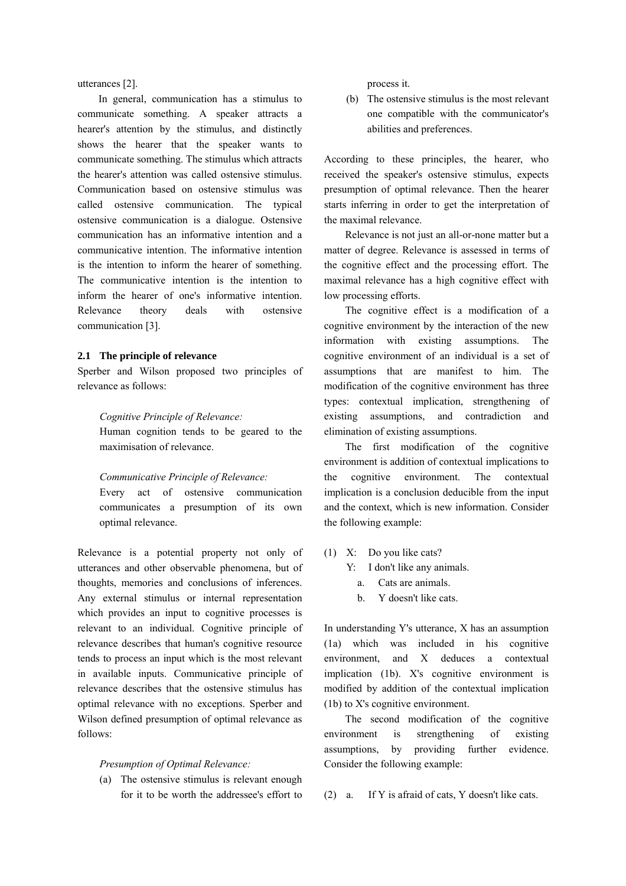utterances [2].

In general, communication has a stimulus to communicate something. A speaker attracts a hearer's attention by the stimulus, and distinctly shows the hearer that the speaker wants to communicate something. The stimulus which attracts the hearer's attention was called ostensive stimulus. Communication based on ostensive stimulus was called ostensive communication. The typical ostensive communication is a dialogue. Ostensive communication has an informative intention and a communicative intention. The informative intention is the intention to inform the hearer of something. The communicative intention is the intention to inform the hearer of one's informative intention. Relevance theory deals with ostensive communication [3].

## **2.1 The principle of relevance**

Sperber and Wilson proposed two principles of relevance as follows:

*Cognitive Principle of Relevance:* 

Human cognition tends to be geared to the maximisation of relevance.

*Communicative Principle of Relevance:* 

Every act of ostensive communication communicates a presumption of its own optimal relevance.

Relevance is a potential property not only of utterances and other observable phenomena, but of thoughts, memories and conclusions of inferences. Any external stimulus or internal representation which provides an input to cognitive processes is relevant to an individual. Cognitive principle of relevance describes that human's cognitive resource tends to process an input which is the most relevant in available inputs. Communicative principle of relevance describes that the ostensive stimulus has optimal relevance with no exceptions. Sperber and Wilson defined presumption of optimal relevance as follows:

## *Presumption of Optimal Relevance:*

(a) The ostensive stimulus is relevant enough for it to be worth the addressee's effort to

process it.

(b) The ostensive stimulus is the most relevant one compatible with the communicator's abilities and preferences.

According to these principles, the hearer, who received the speaker's ostensive stimulus, expects presumption of optimal relevance. Then the hearer starts inferring in order to get the interpretation of the maximal relevance.

Relevance is not just an all-or-none matter but a matter of degree. Relevance is assessed in terms of the cognitive effect and the processing effort. The maximal relevance has a high cognitive effect with low processing efforts.

The cognitive effect is a modification of a cognitive environment by the interaction of the new information with existing assumptions. The cognitive environment of an individual is a set of assumptions that are manifest to him. The modification of the cognitive environment has three types: contextual implication, strengthening of existing assumptions, and contradiction and elimination of existing assumptions.

The first modification of the cognitive environment is addition of contextual implications to the cognitive environment. The contextual implication is a conclusion deducible from the input and the context, which is new information. Consider the following example:

(1) X: Do you like cats?

Y: I don't like any animals.

- a. Cats are animals.
- b. Y doesn't like cats.

In understanding Y's utterance, X has an assumption (1a) which was included in his cognitive environment, and X deduces a contextual implication (1b). X's cognitive environment is modified by addition of the contextual implication (1b) to X's cognitive environment.

The second modification of the cognitive environment is strengthening of existing assumptions, by providing further evidence. Consider the following example:

(2) a. If Y is afraid of cats, Y doesn't like cats.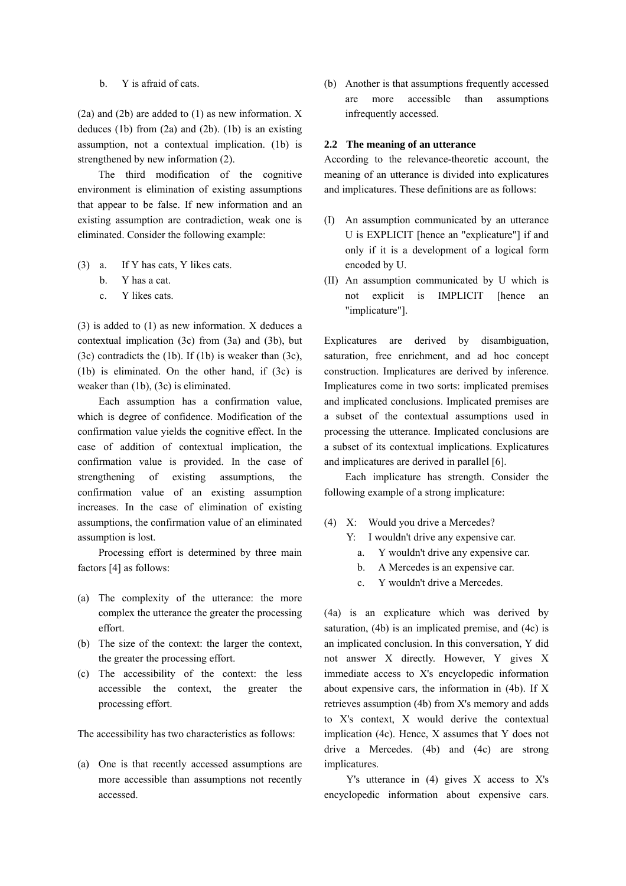# b. Y is afraid of cats.

(2a) and (2b) are added to (1) as new information. X deduces  $(1b)$  from  $(2a)$  and  $(2b)$ .  $(1b)$  is an existing assumption, not a contextual implication. (1b) is strengthened by new information (2).

The third modification of the cognitive environment is elimination of existing assumptions that appear to be false. If new information and an existing assumption are contradiction, weak one is eliminated. Consider the following example:

- (3) a. If Y has cats, Y likes cats.
	- b. Y has a cat.
	- c. Y likes cats.

(3) is added to (1) as new information. X deduces a contextual implication (3c) from (3a) and (3b), but (3c) contradicts the  $(1b)$ . If  $(1b)$  is weaker than  $(3c)$ , (1b) is eliminated. On the other hand, if (3c) is weaker than (1b), (3c) is eliminated.

Each assumption has a confirmation value, which is degree of confidence. Modification of the confirmation value yields the cognitive effect. In the case of addition of contextual implication, the confirmation value is provided. In the case of strengthening of existing assumptions, the confirmation value of an existing assumption increases. In the case of elimination of existing assumptions, the confirmation value of an eliminated assumption is lost.

Processing effort is determined by three main factors [4] as follows:

- (a) The complexity of the utterance: the more complex the utterance the greater the processing effort.
- (b) The size of the context: the larger the context, the greater the processing effort.
- (c) The accessibility of the context: the less accessible the context, the greater the processing effort.

The accessibility has two characteristics as follows:

(a) One is that recently accessed assumptions are more accessible than assumptions not recently accessed.

(b) Another is that assumptions frequently accessed are more accessible than assumptions infrequently accessed.

# **2.2 The meaning of an utterance**

According to the relevance-theoretic account, the meaning of an utterance is divided into explicatures and implicatures. These definitions are as follows:

- (I) An assumption communicated by an utterance U is EXPLICIT [hence an "explicature"] if and only if it is a development of a logical form encoded by U.
- (II) An assumption communicated by U which is not explicit is IMPLICIT [hence an "implicature"].

Explicatures are derived by disambiguation, saturation, free enrichment, and ad hoc concept construction. Implicatures are derived by inference. Implicatures come in two sorts: implicated premises and implicated conclusions. Implicated premises are a subset of the contextual assumptions used in processing the utterance. Implicated conclusions are a subset of its contextual implications. Explicatures and implicatures are derived in parallel [6].

Each implicature has strength. Consider the following example of a strong implicature:

- (4) X: Would you drive a Mercedes?
	- Y: I wouldn't drive any expensive car.
		- a. Y wouldn't drive any expensive car.
		- b. A Mercedes is an expensive car.
		- c. Y wouldn't drive a Mercedes.

(4a) is an explicature which was derived by saturation, (4b) is an implicated premise, and (4c) is an implicated conclusion. In this conversation, Y did not answer X directly. However, Y gives X immediate access to X's encyclopedic information about expensive cars, the information in (4b). If X retrieves assumption (4b) from X's memory and adds to X's context, X would derive the contextual implication (4c). Hence, X assumes that Y does not drive a Mercedes. (4b) and (4c) are strong implicatures.

Y's utterance in (4) gives X access to X's encyclopedic information about expensive cars.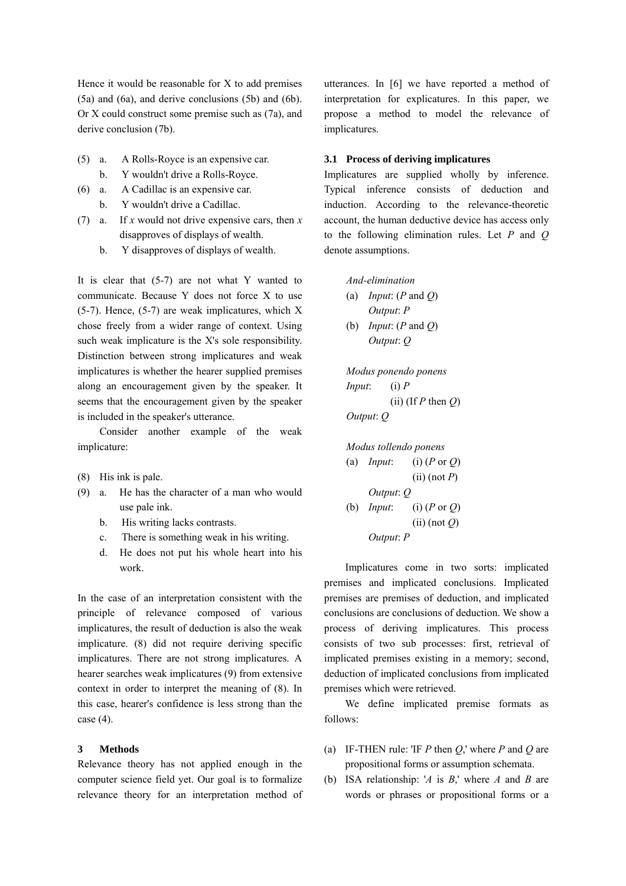Hence it would be reasonable for X to add premises (5a) and (6a), and derive conclusions (5b) and (6b). Or X could construct some premise such as (7a), and derive conclusion (7b).

- (5) a. A Rolls-Royce is an expensive car.
	- b. Y wouldn't drive a Rolls-Royce.
- (6) a. A Cadillac is an expensive car. b. Y wouldn't drive a Cadillac.
- (7) a. If *x* would not drive expensive cars, then *x* disapproves of displays of wealth.
	- b. Y disapproves of displays of wealth.

It is clear that (5-7) are not what Y wanted to communicate. Because Y does not force X to use (5-7). Hence, (5-7) are weak implicatures, which X chose freely from a wider range of context. Using such weak implicature is the X's sole responsibility. Distinction between strong implicatures and weak implicatures is whether the hearer supplied premises along an encouragement given by the speaker. It seems that the encouragement given by the speaker is included in the speaker's utterance.

Consider another example of the weak implicature:

- (8) His ink is pale.
- (9) a. He has the character of a man who would use pale ink.
	- b. His writing lacks contrasts.
	- c. There is something weak in his writing.
	- d. He does not put his whole heart into his work.

In the case of an interpretation consistent with the principle of relevance composed of various implicatures, the result of deduction is also the weak implicature. (8) did not require deriving specific implicatures. There are not strong implicatures. A hearer searches weak implicatures (9) from extensive context in order to interpret the meaning of (8). In this case, hearer's confidence is less strong than the case (4).

#### **3 Methods**

Relevance theory has not applied enough in the computer science field yet. Our goal is to formalize relevance theory for an interpretation method of utterances. In [6] we have reported a method of interpretation for explicatures. In this paper, we propose a method to model the relevance of implicatures.

# **3.1 Process of deriving implicatures**

Implicatures are supplied wholly by inference. Typical inference consists of deduction and induction. According to the relevance-theoretic account, the human deductive device has access only to the following elimination rules. Let *P* and *Q* denote assumptions.

*And-elimination*  (a) *Input*: (*P* and *Q*) *Output*: *P*

(b) *Input*: (*P* and *Q*) *Output*: *Q*

*Modus ponendo ponens Input*: (i) *P*  $(iii)$  (If *P* then *O*) *Output*: *Q*

*Modus tollendo ponens*  (a) *Input*: (i) (*P* or *Q*) (ii) (not *P*) *Output*: *Q* (b) *Input*: (i) (*P* or *Q*) (ii) (not *Q*) *Output*: *P*

Implicatures come in two sorts: implicated premises and implicated conclusions. Implicated premises are premises of deduction, and implicated conclusions are conclusions of deduction. We show a process of deriving implicatures. This process consists of two sub processes: first, retrieval of implicated premises existing in a memory; second, deduction of implicated conclusions from implicated premises which were retrieved.

We define implicated premise formats as follows:

- (a) IF-THEN rule: 'IF *P* then *Q*,' where *P* and *Q* are propositional forms or assumption schemata.
- (b) ISA relationship: '*A* is *B*,' where *A* and *B* are words or phrases or propositional forms or a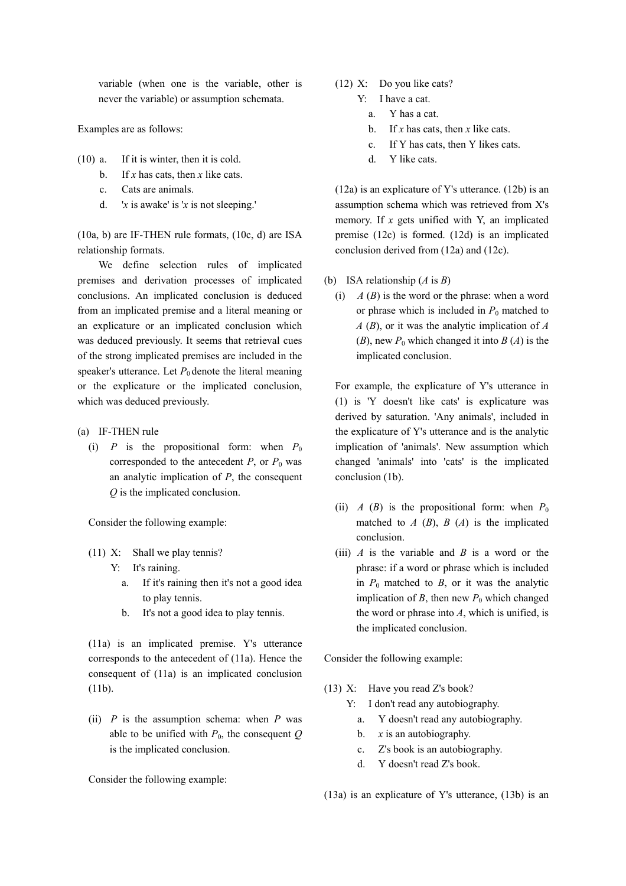variable (when one is the variable, other is never the variable) or assumption schemata.

Examples are as follows:

- (10) a. If it is winter, then it is cold.
	- b. If *x* has cats, then *x* like cats.
	- c. Cats are animals.
	- d. '*x* is awake' is '*x* is not sleeping.'

(10a, b) are IF-THEN rule formats, (10c, d) are ISA relationship formats.

We define selection rules of implicated premises and derivation processes of implicated conclusions. An implicated conclusion is deduced from an implicated premise and a literal meaning or an explicature or an implicated conclusion which was deduced previously. It seems that retrieval cues of the strong implicated premises are included in the speaker's utterance. Let  $P_0$  denote the literal meaning or the explicature or the implicated conclusion, which was deduced previously.

- (a) IF-THEN rule
	- (i) *P* is the propositional form: when  $P_0$ corresponded to the antecedent  $P$ , or  $P_0$  was an analytic implication of *P*, the consequent *Q* is the implicated conclusion.

Consider the following example:

- (11) X: Shall we play tennis?
	- Y: It's raining.
		- a. If it's raining then it's not a good idea to play tennis.
		- b. It's not a good idea to play tennis.

(11a) is an implicated premise. Y's utterance corresponds to the antecedent of (11a). Hence the consequent of (11a) is an implicated conclusion (11b).

(ii)  $P$  is the assumption schema: when  $P$  was able to be unified with  $P_0$ , the consequent  $Q$ is the implicated conclusion.

Consider the following example:

- (12) X: Do you like cats?
	- Y: I have a cat.
		- a. Y has a cat.
		- b. If *x* has cats, then *x* like cats.
		- c. If Y has cats, then Y likes cats.
		- d. Y like cats.

(12a) is an explicature of Y's utterance. (12b) is an assumption schema which was retrieved from X's memory. If *x* gets unified with Y, an implicated premise (12c) is formed. (12d) is an implicated conclusion derived from (12a) and (12c).

- (b) ISA relationship (*A* is *B*)
	- (i)  $A(B)$  is the word or the phrase: when a word or phrase which is included in  $P_0$  matched to *A* (*B*), or it was the analytic implication of *A* (*B*), new  $P_0$  which changed it into  $B(A)$  is the implicated conclusion.

For example, the explicature of Y's utterance in (1) is 'Y doesn't like cats' is explicature was derived by saturation. 'Any animals', included in the explicature of Y's utterance and is the analytic implication of 'animals'. New assumption which changed 'animals' into 'cats' is the implicated conclusion (1b).

- (ii) *A* (*B*) is the propositional form: when  $P_0$ matched to  $A$  ( $B$ ),  $B$  ( $A$ ) is the implicated conclusion.
- (iii)  $\vec{A}$  is the variable and  $\vec{B}$  is a word or the phrase: if a word or phrase which is included in  $P_0$  matched to  $B$ , or it was the analytic implication of *B*, then new  $P_0$  which changed the word or phrase into *A*, which is unified, is the implicated conclusion.

Consider the following example:

- (13) X: Have you read Z's book?
	- Y: I don't read any autobiography.
		- a. Y doesn't read any autobiography.
		- b. *x* is an autobiography.
		- c. Z's book is an autobiography.
		- d. Y doesn't read Z's book.

(13a) is an explicature of Y's utterance, (13b) is an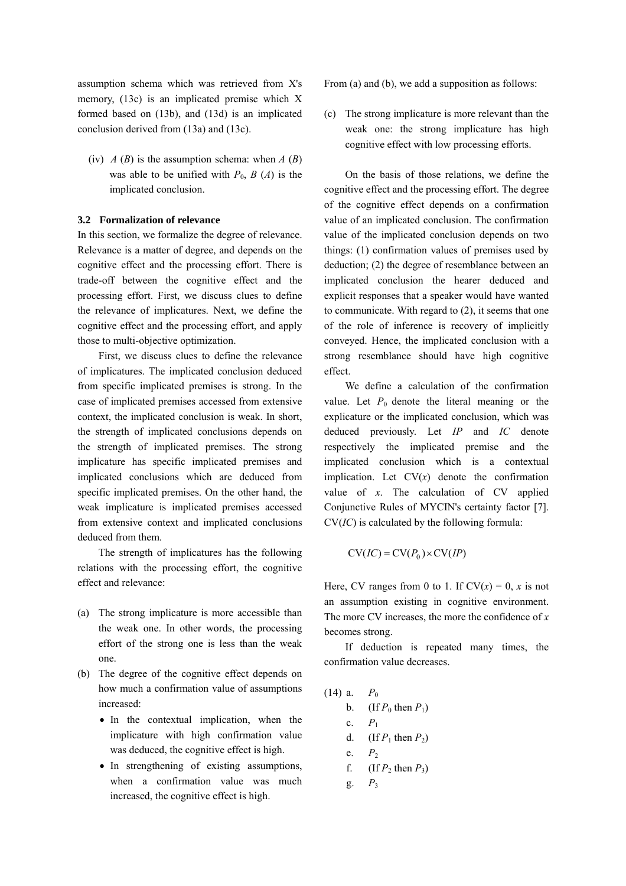assumption schema which was retrieved from X's memory, (13c) is an implicated premise which X formed based on (13b), and (13d) is an implicated conclusion derived from (13a) and (13c).

(iv)  $\hat{A}(B)$  is the assumption schema: when  $\hat{A}(B)$ was able to be unified with  $P_0$ ,  $B(A)$  is the implicated conclusion.

# **3.2 Formalization of relevance**

In this section, we formalize the degree of relevance. Relevance is a matter of degree, and depends on the cognitive effect and the processing effort. There is trade-off between the cognitive effect and the processing effort. First, we discuss clues to define the relevance of implicatures. Next, we define the cognitive effect and the processing effort, and apply those to multi-objective optimization.

First, we discuss clues to define the relevance of implicatures. The implicated conclusion deduced from specific implicated premises is strong. In the case of implicated premises accessed from extensive context, the implicated conclusion is weak. In short, the strength of implicated conclusions depends on the strength of implicated premises. The strong implicature has specific implicated premises and implicated conclusions which are deduced from specific implicated premises. On the other hand, the weak implicature is implicated premises accessed from extensive context and implicated conclusions deduced from them.

The strength of implicatures has the following relations with the processing effort, the cognitive effect and relevance:

- (a) The strong implicature is more accessible than the weak one. In other words, the processing effort of the strong one is less than the weak one.
- (b) The degree of the cognitive effect depends on how much a confirmation value of assumptions increased:
	- In the contextual implication, when the implicature with high confirmation value was deduced, the cognitive effect is high.
	- In strengthening of existing assumptions, when a confirmation value was much increased, the cognitive effect is high.

From (a) and (b), we add a supposition as follows:

(c) The strong implicature is more relevant than the weak one: the strong implicature has high cognitive effect with low processing efforts.

On the basis of those relations, we define the cognitive effect and the processing effort. The degree of the cognitive effect depends on a confirmation value of an implicated conclusion. The confirmation value of the implicated conclusion depends on two things: (1) confirmation values of premises used by deduction; (2) the degree of resemblance between an implicated conclusion the hearer deduced and explicit responses that a speaker would have wanted to communicate. With regard to (2), it seems that one of the role of inference is recovery of implicitly conveyed. Hence, the implicated conclusion with a strong resemblance should have high cognitive effect.

We define a calculation of the confirmation value. Let  $P_0$  denote the literal meaning or the explicature or the implicated conclusion, which was deduced previously. Let *IP* and *IC* denote respectively the implicated premise and the implicated conclusion which is a contextual implication. Let  $CV(x)$  denote the confirmation value of *x*. The calculation of CV applied Conjunctive Rules of MYCIN's certainty factor [7]. CV(*IC*) is calculated by the following formula:

$$
CV(IC) = CV(P_0) \times CV(IP)
$$

Here, CV ranges from 0 to 1. If  $CV(x) = 0$ , *x* is not an assumption existing in cognitive environment. The more CV increases, the more the confidence of *x* becomes strong.

If deduction is repeated many times, the confirmation value decreases.

(14) a.  $P_0$ b. (If  $P_0$  then  $P_1$ ) c.  $P_1$ d. (If  $P_1$  then  $P_2$ ) e.  $P_2$ f. (If  $P_2$  then  $P_3$ )  $g.$   $P_3$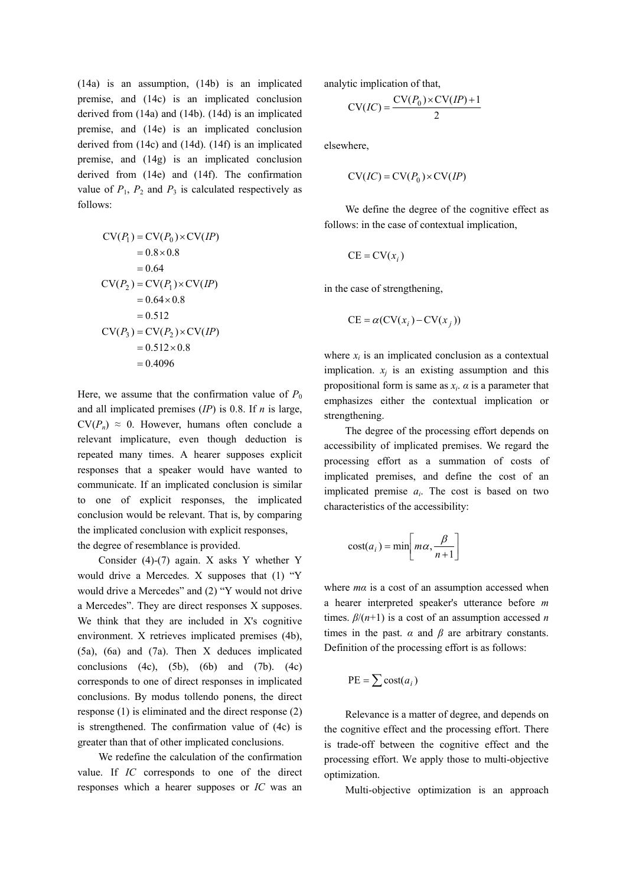(14a) is an assumption, (14b) is an implicated premise, and (14c) is an implicated conclusion derived from (14a) and (14b). (14d) is an implicated premise, and (14e) is an implicated conclusion derived from (14c) and (14d). (14f) is an implicated premise, and (14g) is an implicated conclusion derived from (14e) and (14f). The confirmation value of  $P_1$ ,  $P_2$  and  $P_3$  is calculated respectively as follows:

$$
CV(P_1) = CV(P_0) \times CV(IP)
$$
  
= 0.8 × 0.8  
= 0.64  

$$
CV(P_2) = CV(P_1) \times CV(IP)
$$
  
= 0.64 × 0.8  
= 0.512  

$$
CV(P_3) = CV(P_2) \times CV(IP)
$$
  
= 0.512 × 0.8  
= 0.4096

Here, we assume that the confirmation value of  $P_0$ and all implicated premises (*IP*) is 0.8. If *n* is large,  $CV(P_n) \approx 0$ . However, humans often conclude a relevant implicature, even though deduction is repeated many times. A hearer supposes explicit responses that a speaker would have wanted to communicate. If an implicated conclusion is similar to one of explicit responses, the implicated conclusion would be relevant. That is, by comparing the implicated conclusion with explicit responses, the degree of resemblance is provided.

Consider (4)-(7) again. X asks Y whether Y would drive a Mercedes. X supposes that (1) "Y would drive a Mercedes" and (2) "Y would not drive a Mercedes". They are direct responses X supposes. We think that they are included in X's cognitive environment. X retrieves implicated premises (4b), (5a), (6a) and (7a). Then X deduces implicated conclusions  $(4c)$ ,  $(5b)$ ,  $(6b)$  and  $(7b)$ .  $(4c)$ corresponds to one of direct responses in implicated conclusions. By modus tollendo ponens, the direct response (1) is eliminated and the direct response (2) is strengthened. The confirmation value of (4c) is greater than that of other implicated conclusions.

We redefine the calculation of the confirmation value. If *IC* corresponds to one of the direct responses which a hearer supposes or *IC* was an analytic implication of that,

$$
CV(IC) = \frac{CV(P_0) \times CV(IP) + 1}{2}
$$

elsewhere,

$$
CV(IC) = CV(P_0) \times CV(IP)
$$

We define the degree of the cognitive effect as follows: in the case of contextual implication,

$$
CE = CV(x_i)
$$

in the case of strengthening,

$$
CE = \alpha(CV(x_i) - CV(x_j))
$$

where  $x_i$  is an implicated conclusion as a contextual implication.  $x_i$  is an existing assumption and this propositional form is same as  $x_i$ .  $\alpha$  is a parameter that emphasizes either the contextual implication or strengthening.

The degree of the processing effort depends on accessibility of implicated premises. We regard the processing effort as a summation of costs of implicated premises, and define the cost of an implicated premise *ai*. The cost is based on two characteristics of the accessibility:

$$
cost(a_i) = min\left[m\alpha, \frac{\beta}{n+1}\right]
$$

where *mα* is a cost of an assumption accessed when a hearer interpreted speaker's utterance before *m* times. *β*/(*n*+1) is a cost of an assumption accessed *n* times in the past.  $\alpha$  and  $\beta$  are arbitrary constants. Definition of the processing effort is as follows:

$$
PE = \sum cost(a_i)
$$

Relevance is a matter of degree, and depends on the cognitive effect and the processing effort. There is trade-off between the cognitive effect and the processing effort. We apply those to multi-objective optimization.

Multi-objective optimization is an approach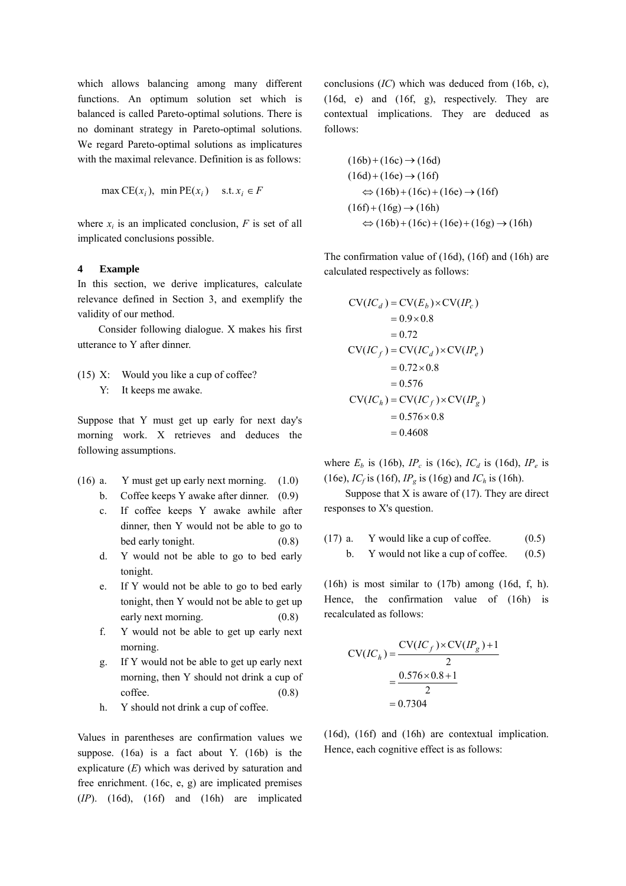which allows balancing among many different functions. An optimum solution set which is balanced is called Pareto-optimal solutions. There is no dominant strategy in Pareto-optimal solutions. We regard Pareto-optimal solutions as implicatures with the maximal relevance. Definition is as follows:

$$
\max CE(x_i), \min PE(x_i) \quad \text{s.t. } x_i \in F
$$

where  $x_i$  is an implicated conclusion,  $F$  is set of all implicated conclusions possible.

## **4 Example**

In this section, we derive implicatures, calculate relevance defined in Section 3, and exemplify the validity of our method.

Consider following dialogue. X makes his first utterance to Y after dinner.

(15) X: Would you like a cup of coffee? Y: It keeps me awake.

Suppose that Y must get up early for next day's morning work. X retrieves and deduces the following assumptions.

- (16) a. Y must get up early next morning. (1.0)
	- b. Coffee keeps Y awake after dinner. (0.9)
	- c. If coffee keeps Y awake awhile after dinner, then Y would not be able to go to bed early tonight. (0.8)
	- d. Y would not be able to go to bed early tonight.
	- e. If Y would not be able to go to bed early tonight, then Y would not be able to get up early next morning. (0.8)
	- f. Y would not be able to get up early next morning.
	- g. If Y would not be able to get up early next morning, then Y should not drink a cup of  $\text{cofree.}$  (0.8)
	- h. Y should not drink a cup of coffee.

Values in parentheses are confirmation values we suppose. (16a) is a fact about Y. (16b) is the explicature (*E*) which was derived by saturation and free enrichment. (16c, e, g) are implicated premises (*IP*). (16d), (16f) and (16h) are implicated

conclusions (*IC*) which was deduced from (16b, c), (16d, e) and (16f, g), respectively. They are contextual implications. They are deduced as follows:

$$
(16b) + (16c) \rightarrow (16d)
$$
  
\n
$$
(16d) + (16e) \rightarrow (16f)
$$
  
\n
$$
\Leftrightarrow (16b) + (16c) + (16e) \rightarrow (16f)
$$
  
\n
$$
(16f) + (16g) \rightarrow (16h)
$$
  
\n
$$
\Leftrightarrow (16b) + (16c) + (16e) + (16g) \rightarrow (16h)
$$

The confirmation value of (16d), (16f) and (16h) are calculated respectively as follows:

$$
CV(IC_d) = CV(E_b) \times CV(IP_c)
$$
  
= 0.9 \times 0.8  
= 0.72  

$$
CV(IC_f) = CV(IC_d) \times CV(IP_e)
$$
  
= 0.72 \times 0.8  
= 0.576  

$$
CV(IC_h) = CV(IC_f) \times CV(IP_g)
$$
  
= 0.576 \times 0.8  
= 0.4608

where  $E_b$  is (16b),  $IP_c$  is (16c),  $IC_d$  is (16d),  $IP_e$  is (16e),  $IC_f$  is (16f),  $IP_g$  is (16g) and  $IC_h$  is (16h).

Suppose that  $X$  is aware of (17). They are direct responses to X's question.

(17) a. Y would like a cup of coffee. 
$$
(0.5)
$$
 b. Y would not like a cup of coffee.  $(0.5)$ 

(16h) is most similar to (17b) among (16d, f, h). Hence, the confirmation value of (16h) is recalculated as follows:

$$
CV(IC_h) = \frac{CV(IC_f) \times CV(IP_g) + 1}{2}
$$
  
=  $\frac{0.576 \times 0.8 + 1}{2}$   
= 0.7304

(16d), (16f) and (16h) are contextual implication. Hence, each cognitive effect is as follows: